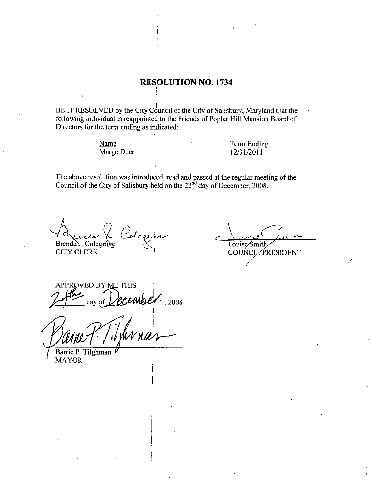## RESOLUTION NO. 1734

BE IT RESOLVED by the City Council of the City of Salisbury, Maryland that the following individual is reappointed to the Friends of Poplar Hill Mansion Board of Directors for the term ending as indicated: following individual is reappointed to the Friends of Poplar Hill Mansion Board of Directors for the term ending as indicated:

> Name Marge Duer

Term Ending <u>Term Endin</u><br>12/31/2011

The above resolution was introduced, read and passed at the regular meeting of the Council of the City of Salisbury held on the  $22<sup>nd</sup>$  day of December, 2008.

ending as indicat<br>Duer<br>was introduced, re<br>Salisbury held or<br>Alexander<br>Salispure Brenda Y. Colegrove

CITY CLERK

APPROVED BY ME THIS ember. day of by the City Council of<br>is reappointed to the F.<br>e Duer<br>examples indicated:<br>Polencove<br>Colencove<br>S.<br>E THIS<br>eccumber . 2008

Barrie P. Tilghman MAYOR

Louise Smith<br>COUNCIL PRESIDENT e regular meeting of the<br>cember, 2008.<br>Louise Smith<br>COUNCIL PRESIDENT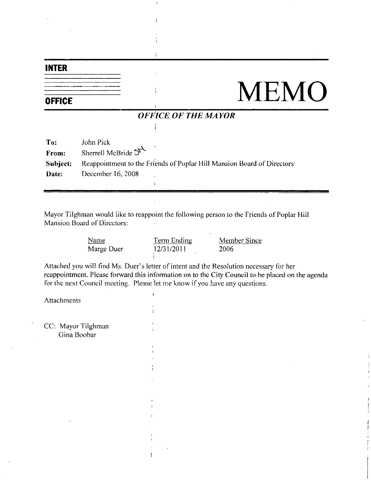## INTER

**OFFICE** 

## **MEMO**

## OFFICE OF THE MAYOR

j.

 $\ddot{\cdot}$ 

Mayor Tilghman would like to reappoint the following person to the friends of Poplar Hill Mansion Board of Directors

| d of Directors: | an would like to reappoint the following person to the Friend |              |
|-----------------|---------------------------------------------------------------|--------------|
| Name            | <b>Term Ending</b>                                            | Member Since |
| Marge Duer      | 12/31/2011                                                    | 2006         |

Attached you will find Ms. Duer's letter of intent and the Resolution necessary for her reappointment. Please forward this information on to the City Council to be placed on the agenda for the next Council meeting. Please let me know if you have any questions.

Attachments

CC: Mayor Tilghman Cina Boobar